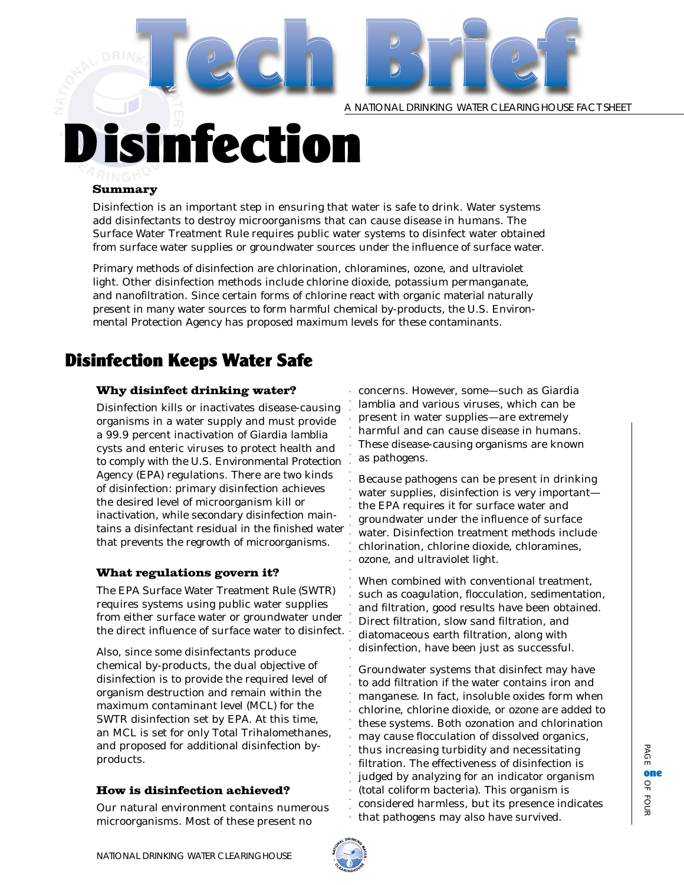A NATIONAL DRINKING WATER CLEARINGHOUSE FACT SHEET

# Disinfection

#### Summary

Disinfection is an important step in ensuring that water is safe to drink. Water systems add disinfectants to destroy microorganisms that can cause disease in humans. The Surface Water Treatment Rule requires public water systems to disinfect water obtained from surface water supplies or groundwater sources under the influence of surface water.

Primary methods of disinfection are chlorination, chloramines, ozone, and ultraviolet light. Other disinfection methods include chlorine dioxide, potassium permanganate, and nanofiltration. Since certain forms of chlorine react with organic material naturally present in many water sources to form harmful chemical by-products, the U.S. Environmental Protection Agency has proposed maximum levels for these contaminants.

.<br>.<br>.

aaaaaaaaaaaaaaaaaaaaaaaaaaaaaaaaaaaaaaaaaaaaaaa

# Disinfection Keeps Water Safe

#### Why disinfect drinking water?

Disinfection kills or inactivates disease-causing organisms in a water supply and must provide a 99.9 percent inactivation of *Giardia lamblia* cysts and enteric viruses to protect health and to comply with the U.S. Environmental Protection Agency (EPA) regulations. There are two kinds of disinfection: primary disinfection achieves the desired level of microorganism kill or inactivation, while secondary disinfection maintains a disinfectant residual in the finished water that prevents the regrowth of microorganisms.

#### What regulations govern it?

The EPA Surface Water Treatment Rule (SWTR) requires systems using public water supplies from either surface water or groundwater under the direct influence of surface water to disinfect.

Also, since some disinfectants produce chemical by-products, the dual objective of disinfection is to provide the required level of organism destruction and remain within the maximum contaminant level (MCL) for the SWTR disinfection set by EPA. At this time, an MCL is set for only Total Trihalomethanes, and proposed for additional disinfection byproducts.

#### How is disinfection achieved?

Our natural environment contains numerous microorganisms. Most of these present no

concerns. However, some—such as *Giardia lamblia* and various viruses, which can be present in water supplies—are extremely harmful and can cause disease in humans. These disease-causing organisms are known as pathogens.

Because pathogens can be present in drinking water supplies, disinfection is very important the EPA requires it for surface water and groundwater under the influence of surface water. Disinfection treatment methods include chlorination, chlorine dioxide, chloramines, ozone, and ultraviolet light.

When combined with conventional treatment, such as coagulation, flocculation, sedimentation, and filtration, good results have been obtained. Direct filtration, slow sand filtration, and diatomaceous earth filtration, along with disinfection, have been just as successful.

Groundwater systems that disinfect may have to add filtration if the water contains iron and manganese. In fact, insoluble oxides form when chlorine, chlorine dioxide, or ozone are added to these systems. Both ozonation and chlorination may cause flocculation of dissolved organics, thus increasing turbidity and necessitating filtration. The effectiveness of disinfection is judged by analyzing for an indicator organism (total coliform bacteria). This organism is considered harmless, but its presence indicates that pathogens may also have survived.

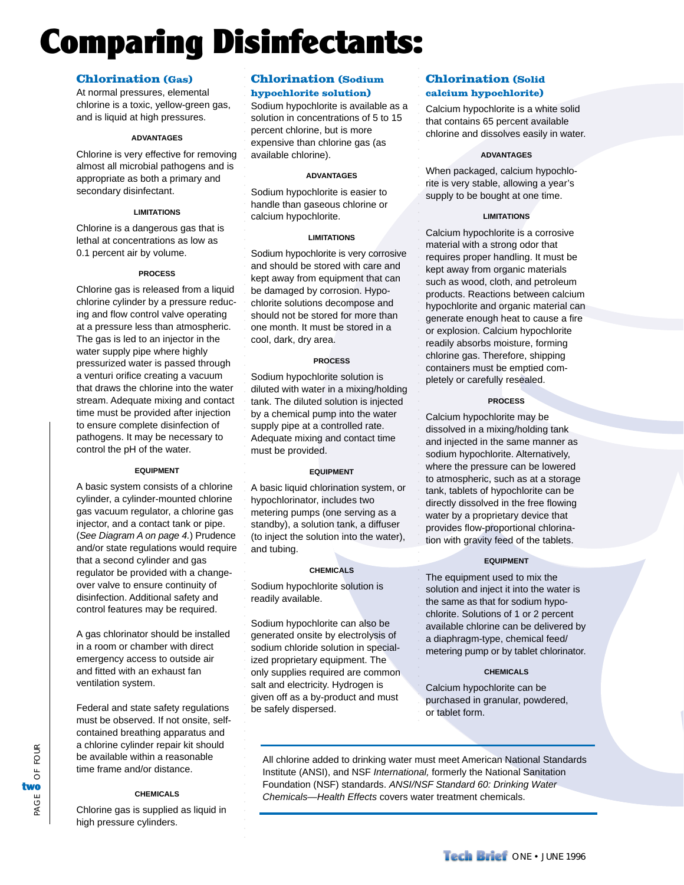# Comparing Disinfectants:

#### Chlorination (Gas)

At normal pressures, elemental chlorine is a toxic, yellow-green gas, and is liquid at high pressures.

#### **ADVANTAGES**

Chlorine is very effective for removing almost all microbial pathogens and is appropriate as both a primary and secondary disinfectant.

#### **LIMITATIONS**

Chlorine is a dangerous gas that is lethal at concentrations as low as 0.1 percent air by volume.

#### **PROCESS**

Chlorine gas is released from a liquid chlorine cylinder by a pressure reducing and flow control valve operating at a pressure less than atmospheric. The gas is led to an injector in the water supply pipe where highly pressurized water is passed through a venturi orifice creating a vacuum that draws the chlorine into the water stream. Adequate mixing and contact time must be provided after injection to ensure complete disinfection of pathogens. It may be necessary to control the pH of the water.

#### **EQUIPMENT**

A basic system consists of a chlorine cylinder, a cylinder-mounted chlorine gas vacuum regulator, a chlorine gas injector, and a contact tank or pipe. (See Diagram A on page 4.) Prudence and/or state regulations would require that a second cylinder and gas regulator be provided with a changeover valve to ensure continuity of disinfection. Additional safety and control features may be required.

A gas chlorinator should be installed in a room or chamber with direct emergency access to outside air and fitted with an exhaust fan ventilation system.

Federal and state safety regulations must be observed. If not onsite, selfcontained breathing apparatus and a chlorine cylinder repair kit should be available within a reasonable time frame and/or distance.

#### **CHEMICALS**

Chlorine gas is supplied as liquid in high pressure cylinders.

#### Chlorination (Sodium hypochlorite solution)

Sodium hypochlorite is available as a solution in concentrations of 5 to 15 percent chlorine, but is more expensive than chlorine gas (as available chlorine).

#### **ADVANTAGES**

Sodium hypochlorite is easier to handle than gaseous chlorine or calcium hypochlorite.

#### **LIMITATIONS**

Sodium hypochlorite is very corrosive and should be stored with care and kept away from equipment that can be damaged by corrosion. Hypochlorite solutions decompose and should not be stored for more than one month. It must be stored in a cool, dark, dry area.

#### **PROCESS**

Sodium hypochlorite solution is diluted with water in a mixing/holding tank. The diluted solution is injected by a chemical pump into the water supply pipe at a controlled rate. Adequate mixing and contact time must be provided.

#### **EQUIPMENT**

A basic liquid chlorination system, or hypochlorinator, includes two metering pumps (one serving as a standby), a solution tank, a diffuser (to inject the solution into the water), and tubing.

#### **CHEMICALS**

Sodium hypochlorite solution is readily available.

Sodium hypochlorite can also be generated onsite by electrolysis of sodium chloride solution in specialized proprietary equipment. The only supplies required are common salt and electricity. Hydrogen is given off as a by-product and must be safely dispersed.

aaaaaaaaaaaaaaaaaaaaaaaaaaaaa

#### Chlorination (Solid calcium hypochlorite)

Calcium hypochlorite is a white solid that contains 65 percent available chlorine and dissolves easily in water.

#### **ADVANTAGES**

When packaged, calcium hypochlorite is very stable, allowing a year's supply to be bought at one time.

#### **LIMITATIONS**

Calcium hypochlorite is a corrosive material with a strong odor that requires proper handling. It must be kept away from organic materials such as wood, cloth, and petroleum products. Reactions between calcium hypochlorite and organic material can generate enough heat to cause a fire or explosion. Calcium hypochlorite readily absorbs moisture, forming chlorine gas. Therefore, shipping containers must be emptied completely or carefully resealed.

#### **PROCESS**

Calcium hypochlorite may be dissolved in a mixing/holding tank and injected in the same manner as sodium hypochlorite. Alternatively, where the pressure can be lowered to atmospheric, such as at a storage tank, tablets of hypochlorite can be directly dissolved in the free flowing water by a proprietary device that provides flow-proportional chlorination with gravity feed of the tablets.

#### **EQUIPMENT**

The equipment used to mix the solution and inject it into the water is the same as that for sodium hypochlorite. Solutions of 1 or 2 percent available chlorine can be delivered by a diaphragm-type, chemical feed/ metering pump or by tablet chlorinator.

#### **CHEMICALS**

Calcium hypochlorite can be purchased in granular, powdered, or tablet form.

 $\begin{array}{c|c}\n\hline\n\end{array}$  a chlorine cylinder repair kit should<br>  $\begin{array}{c}\n\hline\n\end{array}$  be available within a reasonable<br>  $\begin{array}{c}\n\hline\n\end{array}$  All chlorine added to drinking water must meet American National Standards Institute (ANSI), and NSF International, formerly the National Sanitation Foundation (NSF) standards. ANSI/NSF Standard 60: Drinking Water Chemicals—Health Effects covers water treatment chemicals.

aaaaaaaaaaaaaaa

aaaaaaaaaaaaaaaa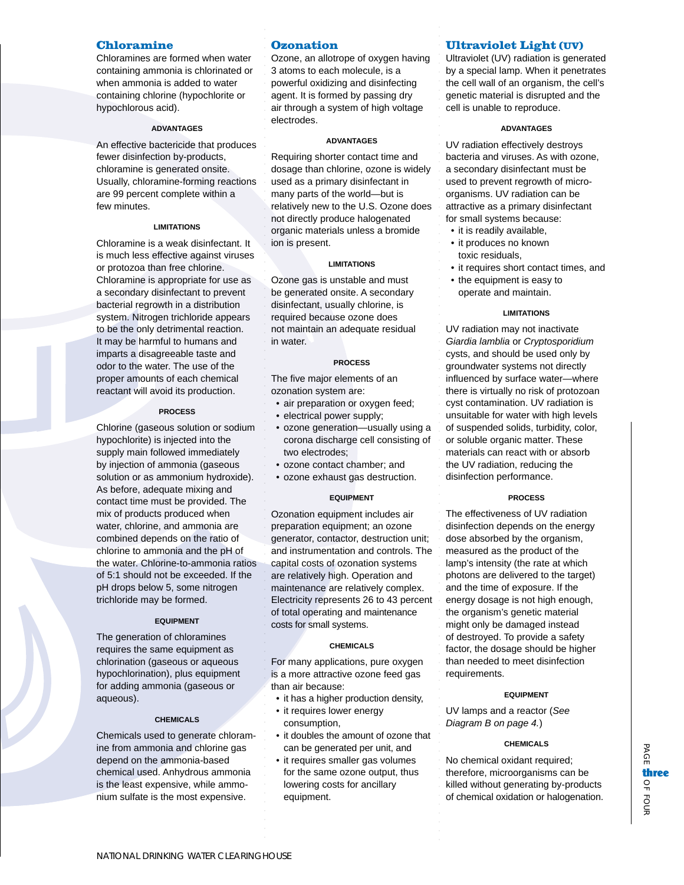#### Chloramine

Chloramines are formed when water containing ammonia is chlorinated or when ammonia is added to water containing chlorine (hypochlorite or hypochlorous acid).

#### **ADVANTAGES**

An effective bactericide that produces fewer disinfection by-products, chloramine is generated onsite. Usually, chloramine-forming reactions are 99 percent complete within a few minutes.

#### **LIMITATIONS**

Chloramine is a weak disinfectant. It is much less effective against viruses or protozoa than free chlorine. Chloramine is appropriate for use as a secondary disinfectant to prevent bacterial regrowth in a distribution system. Nitrogen trichloride appears to be the only detrimental reaction. It may be harmful to humans and imparts a disagreeable taste and odor to the water. The use of the proper amounts of each chemical reactant will avoid its production.

#### **PROCESS**

**CHIorramine**<br>Charlonines are formed when water<br>Containing ammonia is chorinated or 2 a<br>twistnaming chiornine (hypochlorite or<br>Mypochlorous add).<br>An effective bactericale that produces<br>they deprecise advertice of the seco Chlorine (gaseous solution or sodium hypochlorite) is injected into the supply main followed immediately by injection of ammonia (gaseous solution or as ammonium hydroxide). As before, adequate mixing and contact time must be provided. The mix of products produced when water, chlorine, and ammonia are combined depends on the ratio of chlorine to ammonia and the pH of the water. Chlorine-to-ammonia ratios of 5:1 should not be exceeded. If the pH drops below 5, some nitrogen trichloride may be formed.

#### **EQUIPMENT**

The generation of chloramines requires the same equipment as chlorination (gaseous or aqueous hypochlorination), plus equipment for adding ammonia (gaseous or aqueous).

#### **CHEMICALS**

Chemicals used to generate chloramine from ammonia and chlorine gas depend on the ammonia-based chemical used. Anhydrous ammonia is the least expensive, while ammonium sulfate is the most expensive.

#### **Ozonation**

Ozone, an allotrope of oxygen having 3 atoms to each molecule, is a powerful oxidizing and disinfecting agent. It is formed by passing dry air through a system of high voltage electrodes.

#### **ADVANTAGES**

Requiring shorter contact time and dosage than chlorine, ozone is widely used as a primary disinfectant in many parts of the world—but is relatively new to the U.S. Ozone does not directly produce halogenated organic materials unless a bromide ion is present.

#### **LIMITATIONS**

Ozone gas is unstable and must be generated onsite. A secondary disinfectant, usually chlorine, is required because ozone does not maintain an adequate residual in water.

#### **PROCESS**

The five major elements of an ozonation system are:

- air preparation or oxygen feed;
- electrical power supply;
- ozone generation—usually using a corona discharge cell consisting of two electrodes;
- ozone contact chamber; and
- ozone exhaust gas destruction.

#### **EQUIPMENT**

Ozonation equipment includes air preparation equipment; an ozone generator, contactor, destruction unit; and instrumentation and controls. The capital costs of ozonation systems are relatively high. Operation and maintenance are relatively complex. Electricity represents 26 to 43 percent of total operating and maintenance costs for small systems.

#### **CHEMICALS**

For many applications, pure oxygen is a more attractive ozone feed gas than air because:

- it has a higher production density,
- it requires lower energy consumption,
- it doubles the amount of ozone that can be generated per unit, and
- it requires smaller gas volumes for the same ozone output, thus lowering costs for ancillary equipment.

#### Ultraviolet Light (UV)

Ultraviolet (UV) radiation is generated by a special lamp. When it penetrates the cell wall of an organism, the cell's genetic material is disrupted and the cell is unable to reproduce.

#### **ADVANTAGES**

UV radiation effectively destroys bacteria and viruses. As with ozone, a secondary disinfectant must be used to prevent regrowth of microorganisms. UV radiation can be attractive as a primary disinfectant for small systems because:

- it is readily available,
- it produces no known toxic residuals,
- it requires short contact times, and
- the equipment is easy to operate and maintain.

#### **LIMITATIONS**

UV radiation may not inactivate Giardia lamblia or Cryptosporidium cysts, and should be used only by groundwater systems not directly influenced by surface water—where there is virtually no risk of protozoan cyst contamination. UV radiation is unsuitable for water with high levels of suspended solids, turbidity, color, or soluble organic matter. These materials can react with or absorb the UV radiation, reducing the disinfection performance.

#### **PROCESS**

energy dosage is not high enough,<br>the organism's genetic material<br>might only be damaged instead<br>of destroyed. To provide a safety<br>factor, the dosage should be higher<br>than needed to meet disinfection<br>requirements.<br>**EQUIPMEN** The effectiveness of UV radiation disinfection depends on the energy dose absorbed by the organism, measured as the product of the lamp's intensity (the rate at which photons are delivered to the target) and the time of exposure. If the energy dosage is not high enough, the organism's genetic material might only be damaged instead of destroyed. To provide a safety factor, the dosage should be higher than needed to meet disinfection requirements.

aaaaaaaaa

#### **EQUIPMENT**

UV lamps and a reactor (See Diagram B on page 4.)

#### **CHEMICALS**

No chemical oxidant required; therefore, microorganisms can be killed without generating by-products of chemical oxidation or halogenation.